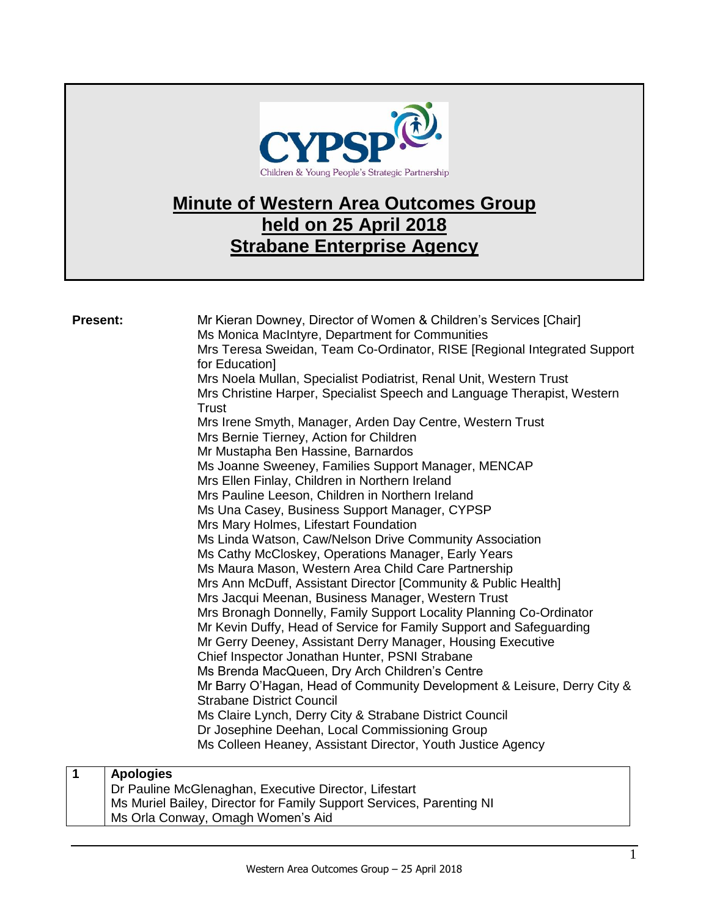

# **Minute of Western Area Outcomes Group held on 25 April 2018 Strabane Enterprise Agency**

| <b>Present:</b>  | Mr Kieran Downey, Director of Women & Children's Services [Chair]<br>Ms Monica MacIntyre, Department for Communities<br>Mrs Teresa Sweidan, Team Co-Ordinator, RISE [Regional Integrated Support<br>for Education]<br>Mrs Noela Mullan, Specialist Podiatrist, Renal Unit, Western Trust<br>Mrs Christine Harper, Specialist Speech and Language Therapist, Western<br>Trust<br>Mrs Irene Smyth, Manager, Arden Day Centre, Western Trust<br>Mrs Bernie Tierney, Action for Children<br>Mr Mustapha Ben Hassine, Barnardos<br>Ms Joanne Sweeney, Families Support Manager, MENCAP<br>Mrs Ellen Finlay, Children in Northern Ireland<br>Mrs Pauline Leeson, Children in Northern Ireland<br>Ms Una Casey, Business Support Manager, CYPSP<br>Mrs Mary Holmes, Lifestart Foundation<br>Ms Linda Watson, Caw/Nelson Drive Community Association<br>Ms Cathy McCloskey, Operations Manager, Early Years<br>Ms Maura Mason, Western Area Child Care Partnership<br>Mrs Ann McDuff, Assistant Director [Community & Public Health]<br>Mrs Jacqui Meenan, Business Manager, Western Trust<br>Mrs Bronagh Donnelly, Family Support Locality Planning Co-Ordinator<br>Mr Kevin Duffy, Head of Service for Family Support and Safeguarding<br>Mr Gerry Deeney, Assistant Derry Manager, Housing Executive<br>Chief Inspector Jonathan Hunter, PSNI Strabane<br>Ms Brenda MacQueen, Dry Arch Children's Centre<br>Mr Barry O'Hagan, Head of Community Development & Leisure, Derry City &<br><b>Strabane District Council</b><br>Ms Claire Lynch, Derry City & Strabane District Council<br>Dr Josephine Deehan, Local Commissioning Group<br>Ms Colleen Heaney, Assistant Director, Youth Justice Agency |
|------------------|------------------------------------------------------------------------------------------------------------------------------------------------------------------------------------------------------------------------------------------------------------------------------------------------------------------------------------------------------------------------------------------------------------------------------------------------------------------------------------------------------------------------------------------------------------------------------------------------------------------------------------------------------------------------------------------------------------------------------------------------------------------------------------------------------------------------------------------------------------------------------------------------------------------------------------------------------------------------------------------------------------------------------------------------------------------------------------------------------------------------------------------------------------------------------------------------------------------------------------------------------------------------------------------------------------------------------------------------------------------------------------------------------------------------------------------------------------------------------------------------------------------------------------------------------------------------------------------------------------------------------------------------------------------------------------------------|
| $\mathbf 1$      | $\blacksquare$ . The set of the set of the set of the set of the set of the set of the set of the set of the set of the set of the set of the set of the set of the set of the set of the set of the set of the set of the set of the                                                                                                                                                                                                                                                                                                                                                                                                                                                                                                                                                                                                                                                                                                                                                                                                                                                                                                                                                                                                                                                                                                                                                                                                                                                                                                                                                                                                                                                          |
| <b>Apologies</b> | $\sim$                                                                                                                                                                                                                                                                                                                                                                                                                                                                                                                                                                                                                                                                                                                                                                                                                                                                                                                                                                                                                                                                                                                                                                                                                                                                                                                                                                                                                                                                                                                                                                                                                                                                                         |

| Dr Pauline McGlenaghan, Executive Director, Lifestart                |  |
|----------------------------------------------------------------------|--|
| Ms Muriel Bailey, Director for Family Support Services, Parenting NI |  |
| Ms Orla Conway, Omagh Women's Aid                                    |  |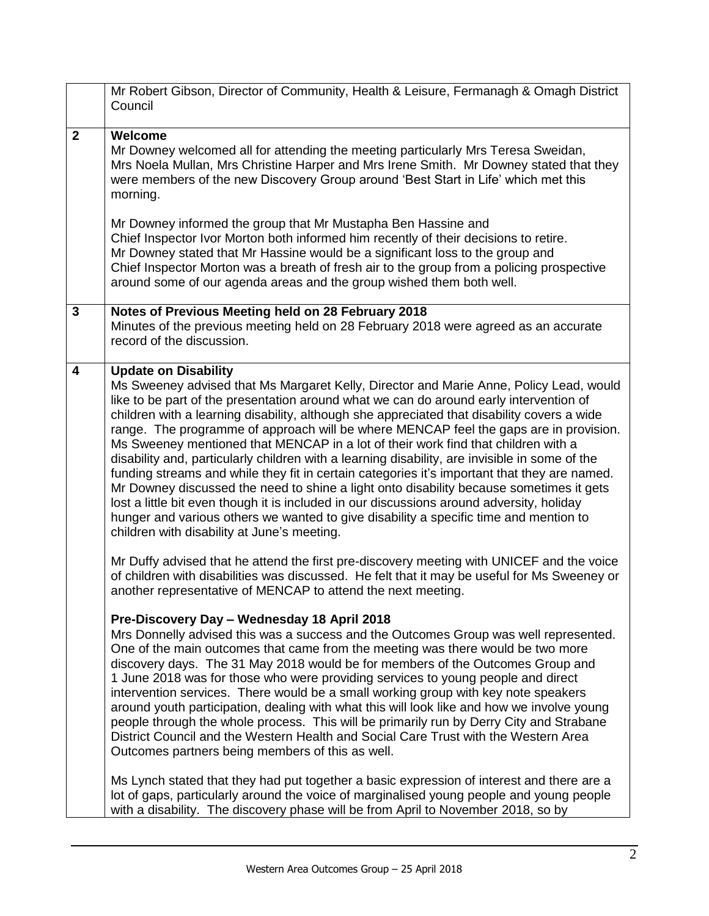|                         | Mr Robert Gibson, Director of Community, Health & Leisure, Fermanagh & Omagh District<br>Council                                                                                                                                                                                                                                                                                                                                                                                                                                                                                                                                                                                                                                                                                                                                                                                                                                                                                                                               |
|-------------------------|--------------------------------------------------------------------------------------------------------------------------------------------------------------------------------------------------------------------------------------------------------------------------------------------------------------------------------------------------------------------------------------------------------------------------------------------------------------------------------------------------------------------------------------------------------------------------------------------------------------------------------------------------------------------------------------------------------------------------------------------------------------------------------------------------------------------------------------------------------------------------------------------------------------------------------------------------------------------------------------------------------------------------------|
| $\overline{2}$          | Welcome<br>Mr Downey welcomed all for attending the meeting particularly Mrs Teresa Sweidan,<br>Mrs Noela Mullan, Mrs Christine Harper and Mrs Irene Smith. Mr Downey stated that they<br>were members of the new Discovery Group around 'Best Start in Life' which met this<br>morning.                                                                                                                                                                                                                                                                                                                                                                                                                                                                                                                                                                                                                                                                                                                                       |
|                         | Mr Downey informed the group that Mr Mustapha Ben Hassine and<br>Chief Inspector Ivor Morton both informed him recently of their decisions to retire.<br>Mr Downey stated that Mr Hassine would be a significant loss to the group and<br>Chief Inspector Morton was a breath of fresh air to the group from a policing prospective<br>around some of our agenda areas and the group wished them both well.                                                                                                                                                                                                                                                                                                                                                                                                                                                                                                                                                                                                                    |
| $\mathbf{3}$            | Notes of Previous Meeting held on 28 February 2018<br>Minutes of the previous meeting held on 28 February 2018 were agreed as an accurate<br>record of the discussion.                                                                                                                                                                                                                                                                                                                                                                                                                                                                                                                                                                                                                                                                                                                                                                                                                                                         |
| $\overline{\mathbf{4}}$ | <b>Update on Disability</b><br>Ms Sweeney advised that Ms Margaret Kelly, Director and Marie Anne, Policy Lead, would<br>like to be part of the presentation around what we can do around early intervention of<br>children with a learning disability, although she appreciated that disability covers a wide<br>range. The programme of approach will be where MENCAP feel the gaps are in provision.<br>Ms Sweeney mentioned that MENCAP in a lot of their work find that children with a<br>disability and, particularly children with a learning disability, are invisible in some of the<br>funding streams and while they fit in certain categories it's important that they are named.<br>Mr Downey discussed the need to shine a light onto disability because sometimes it gets<br>lost a little bit even though it is included in our discussions around adversity, holiday<br>hunger and various others we wanted to give disability a specific time and mention to<br>children with disability at June's meeting. |
|                         | Mr Duffy advised that he attend the first pre-discovery meeting with UNICEF and the voice<br>of children with disabilities was discussed. He felt that it may be useful for Ms Sweeney or<br>another representative of MENCAP to attend the next meeting.                                                                                                                                                                                                                                                                                                                                                                                                                                                                                                                                                                                                                                                                                                                                                                      |
|                         | Pre-Discovery Day - Wednesday 18 April 2018<br>Mrs Donnelly advised this was a success and the Outcomes Group was well represented.<br>One of the main outcomes that came from the meeting was there would be two more<br>discovery days. The 31 May 2018 would be for members of the Outcomes Group and<br>1 June 2018 was for those who were providing services to young people and direct<br>intervention services. There would be a small working group with key note speakers<br>around youth participation, dealing with what this will look like and how we involve young<br>people through the whole process. This will be primarily run by Derry City and Strabane<br>District Council and the Western Health and Social Care Trust with the Western Area<br>Outcomes partners being members of this as well.                                                                                                                                                                                                         |
|                         | Ms Lynch stated that they had put together a basic expression of interest and there are a<br>lot of gaps, particularly around the voice of marginalised young people and young people<br>with a disability. The discovery phase will be from April to November 2018, so by                                                                                                                                                                                                                                                                                                                                                                                                                                                                                                                                                                                                                                                                                                                                                     |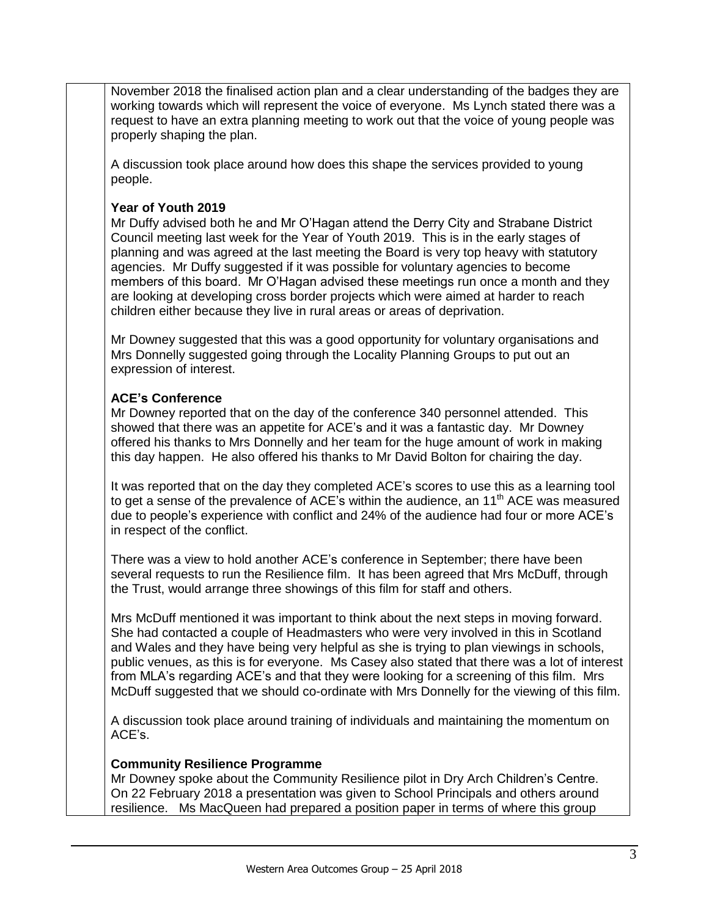November 2018 the finalised action plan and a clear understanding of the badges they are working towards which will represent the voice of everyone. Ms Lynch stated there was a request to have an extra planning meeting to work out that the voice of young people was properly shaping the plan.

A discussion took place around how does this shape the services provided to young people.

### **Year of Youth 2019**

Mr Duffy advised both he and Mr O'Hagan attend the Derry City and Strabane District Council meeting last week for the Year of Youth 2019. This is in the early stages of planning and was agreed at the last meeting the Board is very top heavy with statutory agencies. Mr Duffy suggested if it was possible for voluntary agencies to become members of this board. Mr O'Hagan advised these meetings run once a month and they are looking at developing cross border projects which were aimed at harder to reach children either because they live in rural areas or areas of deprivation.

Mr Downey suggested that this was a good opportunity for voluntary organisations and Mrs Donnelly suggested going through the Locality Planning Groups to put out an expression of interest.

## **ACE's Conference**

Mr Downey reported that on the day of the conference 340 personnel attended. This showed that there was an appetite for ACE's and it was a fantastic day. Mr Downey offered his thanks to Mrs Donnelly and her team for the huge amount of work in making this day happen. He also offered his thanks to Mr David Bolton for chairing the day.

It was reported that on the day they completed ACE's scores to use this as a learning tool to get a sense of the prevalence of ACE's within the audience, an  $11<sup>th</sup>$  ACE was measured due to people's experience with conflict and 24% of the audience had four or more ACE's in respect of the conflict.

There was a view to hold another ACE's conference in September; there have been several requests to run the Resilience film. It has been agreed that Mrs McDuff, through the Trust, would arrange three showings of this film for staff and others.

Mrs McDuff mentioned it was important to think about the next steps in moving forward. She had contacted a couple of Headmasters who were very involved in this in Scotland and Wales and they have being very helpful as she is trying to plan viewings in schools, public venues, as this is for everyone. Ms Casey also stated that there was a lot of interest from MLA's regarding ACE's and that they were looking for a screening of this film. Mrs McDuff suggested that we should co-ordinate with Mrs Donnelly for the viewing of this film.

A discussion took place around training of individuals and maintaining the momentum on ACE's.

#### **Community Resilience Programme**

Mr Downey spoke about the Community Resilience pilot in Dry Arch Children's Centre. On 22 February 2018 a presentation was given to School Principals and others around resilience. Ms MacQueen had prepared a position paper in terms of where this group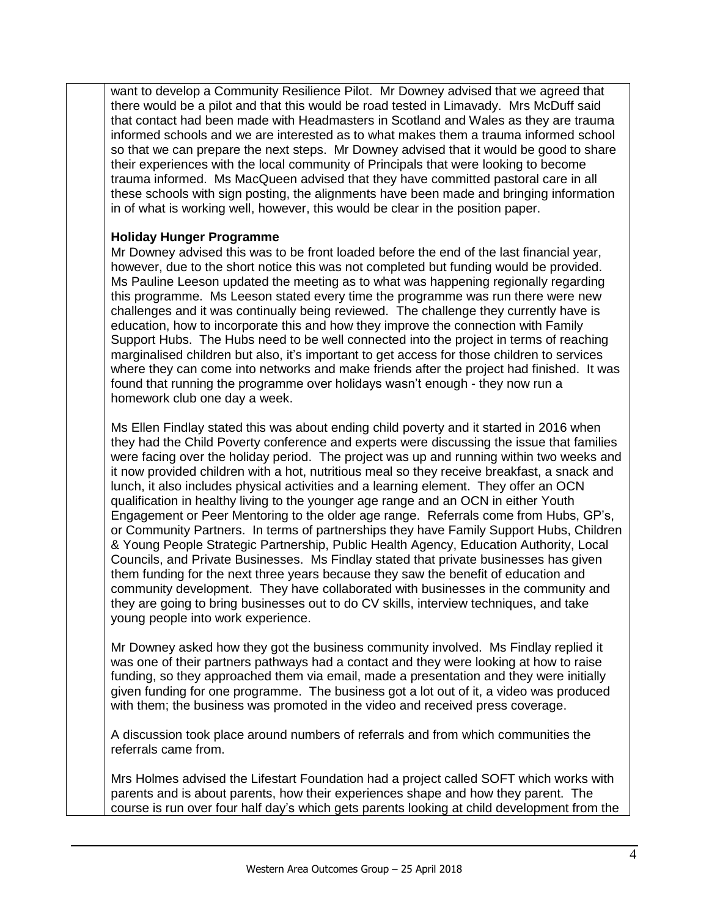want to develop a Community Resilience Pilot. Mr Downey advised that we agreed that there would be a pilot and that this would be road tested in Limavady. Mrs McDuff said that contact had been made with Headmasters in Scotland and Wales as they are trauma informed schools and we are interested as to what makes them a trauma informed school so that we can prepare the next steps. Mr Downey advised that it would be good to share their experiences with the local community of Principals that were looking to become trauma informed. Ms MacQueen advised that they have committed pastoral care in all these schools with sign posting, the alignments have been made and bringing information in of what is working well, however, this would be clear in the position paper.

#### **Holiday Hunger Programme**

Mr Downey advised this was to be front loaded before the end of the last financial year, however, due to the short notice this was not completed but funding would be provided. Ms Pauline Leeson updated the meeting as to what was happening regionally regarding this programme. Ms Leeson stated every time the programme was run there were new challenges and it was continually being reviewed. The challenge they currently have is education, how to incorporate this and how they improve the connection with Family Support Hubs. The Hubs need to be well connected into the project in terms of reaching marginalised children but also, it's important to get access for those children to services where they can come into networks and make friends after the project had finished. It was found that running the programme over holidays wasn't enough - they now run a homework club one day a week.

Ms Ellen Findlay stated this was about ending child poverty and it started in 2016 when they had the Child Poverty conference and experts were discussing the issue that families were facing over the holiday period. The project was up and running within two weeks and it now provided children with a hot, nutritious meal so they receive breakfast, a snack and lunch, it also includes physical activities and a learning element. They offer an OCN qualification in healthy living to the younger age range and an OCN in either Youth Engagement or Peer Mentoring to the older age range. Referrals come from Hubs, GP's, or Community Partners. In terms of partnerships they have Family Support Hubs, Children & Young People Strategic Partnership, Public Health Agency, Education Authority, Local Councils, and Private Businesses. Ms Findlay stated that private businesses has given them funding for the next three years because they saw the benefit of education and community development. They have collaborated with businesses in the community and they are going to bring businesses out to do CV skills, interview techniques, and take young people into work experience.

Mr Downey asked how they got the business community involved. Ms Findlay replied it was one of their partners pathways had a contact and they were looking at how to raise funding, so they approached them via email, made a presentation and they were initially given funding for one programme. The business got a lot out of it, a video was produced with them; the business was promoted in the video and received press coverage.

A discussion took place around numbers of referrals and from which communities the referrals came from.

Mrs Holmes advised the Lifestart Foundation had a project called SOFT which works with parents and is about parents, how their experiences shape and how they parent. The course is run over four half day's which gets parents looking at child development from the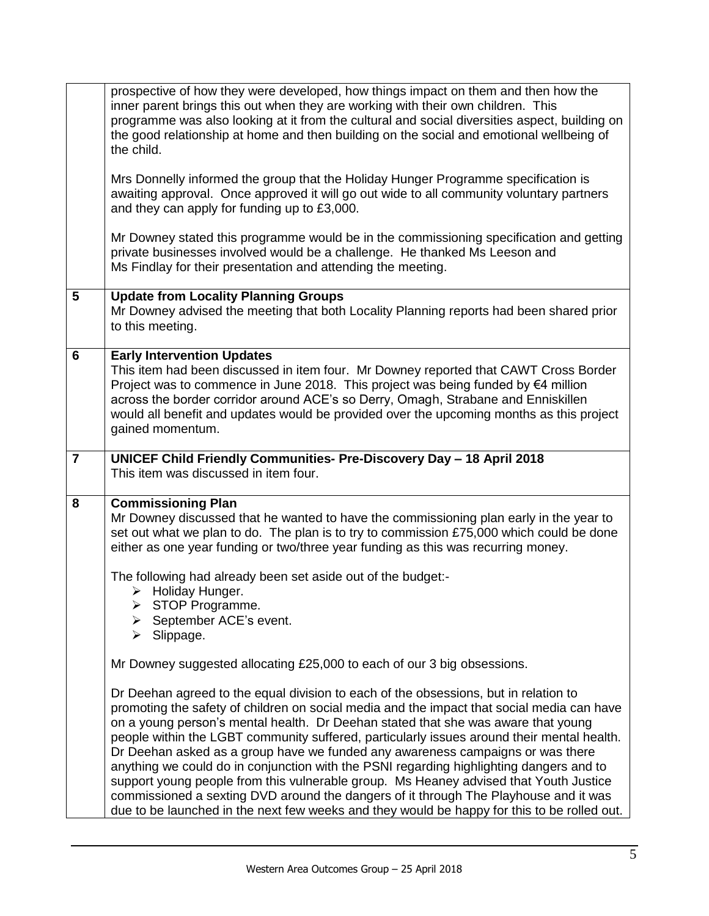|                | prospective of how they were developed, how things impact on them and then how the<br>inner parent brings this out when they are working with their own children. This<br>programme was also looking at it from the cultural and social diversities aspect, building on<br>the good relationship at home and then building on the social and emotional wellbeing of<br>the child.<br>Mrs Donnelly informed the group that the Holiday Hunger Programme specification is<br>awaiting approval. Once approved it will go out wide to all community voluntary partners<br>and they can apply for funding up to £3,000.                                                                                                                                                                                                                |
|----------------|------------------------------------------------------------------------------------------------------------------------------------------------------------------------------------------------------------------------------------------------------------------------------------------------------------------------------------------------------------------------------------------------------------------------------------------------------------------------------------------------------------------------------------------------------------------------------------------------------------------------------------------------------------------------------------------------------------------------------------------------------------------------------------------------------------------------------------|
|                | Mr Downey stated this programme would be in the commissioning specification and getting<br>private businesses involved would be a challenge. He thanked Ms Leeson and<br>Ms Findlay for their presentation and attending the meeting.                                                                                                                                                                                                                                                                                                                                                                                                                                                                                                                                                                                              |
| $5\phantom{1}$ | <b>Update from Locality Planning Groups</b><br>Mr Downey advised the meeting that both Locality Planning reports had been shared prior<br>to this meeting.                                                                                                                                                                                                                                                                                                                                                                                                                                                                                                                                                                                                                                                                         |
| 6              | <b>Early Intervention Updates</b><br>This item had been discussed in item four. Mr Downey reported that CAWT Cross Border<br>Project was to commence in June 2018. This project was being funded by $\epsilon$ 4 million<br>across the border corridor around ACE's so Derry, Omagh, Strabane and Enniskillen<br>would all benefit and updates would be provided over the upcoming months as this project<br>gained momentum.                                                                                                                                                                                                                                                                                                                                                                                                      |
| $\overline{7}$ | UNICEF Child Friendly Communities- Pre-Discovery Day - 18 April 2018<br>This item was discussed in item four.                                                                                                                                                                                                                                                                                                                                                                                                                                                                                                                                                                                                                                                                                                                      |
| 8              | <b>Commissioning Plan</b><br>Mr Downey discussed that he wanted to have the commissioning plan early in the year to<br>set out what we plan to do. The plan is to try to commission £75,000 which could be done<br>either as one year funding or two/three year funding as this was recurring money.                                                                                                                                                                                                                                                                                                                                                                                                                                                                                                                               |
|                | The following had already been set aside out of the budget:-<br>$\triangleright$ Holiday Hunger.<br>$\triangleright$ STOP Programme.<br>$\triangleright$ September ACE's event.<br>Slippage.<br>≻                                                                                                                                                                                                                                                                                                                                                                                                                                                                                                                                                                                                                                  |
|                | Mr Downey suggested allocating £25,000 to each of our 3 big obsessions.                                                                                                                                                                                                                                                                                                                                                                                                                                                                                                                                                                                                                                                                                                                                                            |
|                | Dr Deehan agreed to the equal division to each of the obsessions, but in relation to<br>promoting the safety of children on social media and the impact that social media can have<br>on a young person's mental health. Dr Deehan stated that she was aware that young<br>people within the LGBT community suffered, particularly issues around their mental health.<br>Dr Deehan asked as a group have we funded any awareness campaigns or was there<br>anything we could do in conjunction with the PSNI regarding highlighting dangers and to<br>support young people from this vulnerable group. Ms Heaney advised that Youth Justice<br>commissioned a sexting DVD around the dangers of it through The Playhouse and it was<br>due to be launched in the next few weeks and they would be happy for this to be rolled out. |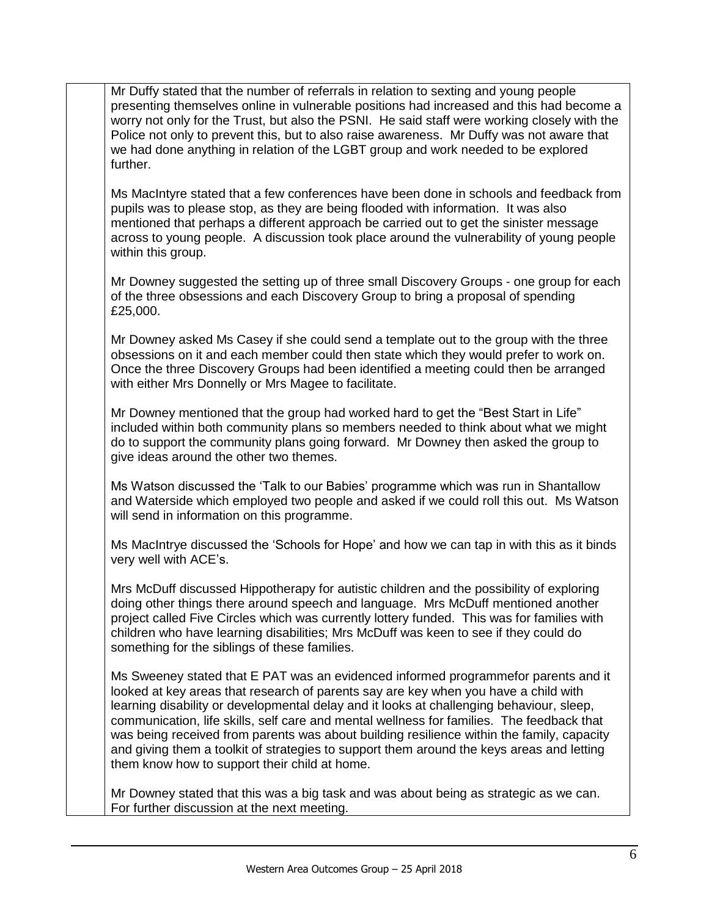Mr Duffy stated that the number of referrals in relation to sexting and young people presenting themselves online in vulnerable positions had increased and this had become a worry not only for the Trust, but also the PSNI. He said staff were working closely with the Police not only to prevent this, but to also raise awareness. Mr Duffy was not aware that we had done anything in relation of the LGBT group and work needed to be explored further.

Ms MacIntyre stated that a few conferences have been done in schools and feedback from pupils was to please stop, as they are being flooded with information. It was also mentioned that perhaps a different approach be carried out to get the sinister message across to young people. A discussion took place around the vulnerability of young people within this group.

Mr Downey suggested the setting up of three small Discovery Groups - one group for each of the three obsessions and each Discovery Group to bring a proposal of spending £25,000.

Mr Downey asked Ms Casey if she could send a template out to the group with the three obsessions on it and each member could then state which they would prefer to work on. Once the three Discovery Groups had been identified a meeting could then be arranged with either Mrs Donnelly or Mrs Magee to facilitate.

Mr Downey mentioned that the group had worked hard to get the "Best Start in Life" included within both community plans so members needed to think about what we might do to support the community plans going forward. Mr Downey then asked the group to give ideas around the other two themes.

Ms Watson discussed the 'Talk to our Babies' programme which was run in Shantallow and Waterside which employed two people and asked if we could roll this out. Ms Watson will send in information on this programme.

Ms MacIntrye discussed the 'Schools for Hope' and how we can tap in with this as it binds very well with ACE's.

Mrs McDuff discussed Hippotherapy for autistic children and the possibility of exploring doing other things there around speech and language. Mrs McDuff mentioned another project called Five Circles which was currently lottery funded. This was for families with children who have learning disabilities; Mrs McDuff was keen to see if they could do something for the siblings of these families.

Ms Sweeney stated that E PAT was an evidenced informed programmefor parents and it looked at key areas that research of parents say are key when you have a child with learning disability or developmental delay and it looks at challenging behaviour, sleep, communication, life skills, self care and mental wellness for families. The feedback that was being received from parents was about building resilience within the family, capacity and giving them a toolkit of strategies to support them around the keys areas and letting them know how to support their child at home.

Mr Downey stated that this was a big task and was about being as strategic as we can. For further discussion at the next meeting.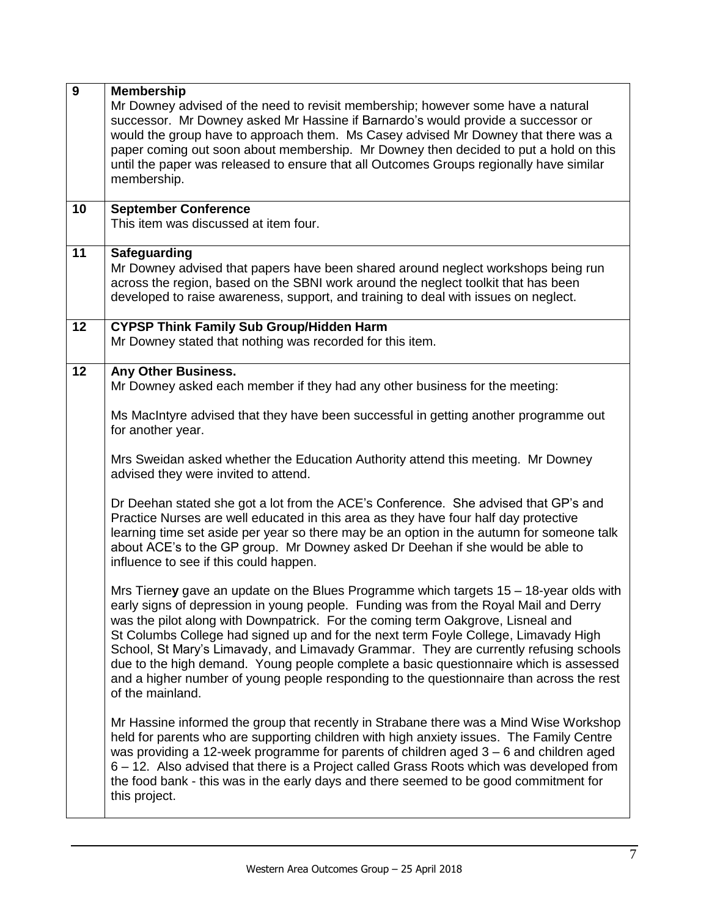| 9  | <b>Membership</b><br>Mr Downey advised of the need to revisit membership; however some have a natural<br>successor. Mr Downey asked Mr Hassine if Barnardo's would provide a successor or<br>would the group have to approach them. Ms Casey advised Mr Downey that there was a<br>paper coming out soon about membership. Mr Downey then decided to put a hold on this<br>until the paper was released to ensure that all Outcomes Groups regionally have similar<br>membership.                                                                                                                                                                          |
|----|------------------------------------------------------------------------------------------------------------------------------------------------------------------------------------------------------------------------------------------------------------------------------------------------------------------------------------------------------------------------------------------------------------------------------------------------------------------------------------------------------------------------------------------------------------------------------------------------------------------------------------------------------------|
| 10 | <b>September Conference</b><br>This item was discussed at item four.                                                                                                                                                                                                                                                                                                                                                                                                                                                                                                                                                                                       |
| 11 | <b>Safeguarding</b><br>Mr Downey advised that papers have been shared around neglect workshops being run<br>across the region, based on the SBNI work around the neglect toolkit that has been<br>developed to raise awareness, support, and training to deal with issues on neglect.                                                                                                                                                                                                                                                                                                                                                                      |
| 12 | <b>CYPSP Think Family Sub Group/Hidden Harm</b><br>Mr Downey stated that nothing was recorded for this item.                                                                                                                                                                                                                                                                                                                                                                                                                                                                                                                                               |
| 12 | Any Other Business.<br>Mr Downey asked each member if they had any other business for the meeting:<br>Ms MacIntyre advised that they have been successful in getting another programme out                                                                                                                                                                                                                                                                                                                                                                                                                                                                 |
|    | for another year.<br>Mrs Sweidan asked whether the Education Authority attend this meeting. Mr Downey<br>advised they were invited to attend.                                                                                                                                                                                                                                                                                                                                                                                                                                                                                                              |
|    | Dr Deehan stated she got a lot from the ACE's Conference. She advised that GP's and<br>Practice Nurses are well educated in this area as they have four half day protective<br>learning time set aside per year so there may be an option in the autumn for someone talk<br>about ACE's to the GP group. Mr Downey asked Dr Deehan if she would be able to<br>influence to see if this could happen.                                                                                                                                                                                                                                                       |
|    | Mrs Tierney gave an update on the Blues Programme which targets 15 – 18-year olds with<br>early signs of depression in young people. Funding was from the Royal Mail and Derry<br>was the pilot along with Downpatrick. For the coming term Oakgrove, Lisneal and<br>St Columbs College had signed up and for the next term Foyle College, Limavady High<br>School, St Mary's Limavady, and Limavady Grammar. They are currently refusing schools<br>due to the high demand. Young people complete a basic questionnaire which is assessed<br>and a higher number of young people responding to the questionnaire than across the rest<br>of the mainland. |
|    | Mr Hassine informed the group that recently in Strabane there was a Mind Wise Workshop<br>held for parents who are supporting children with high anxiety issues. The Family Centre<br>was providing a 12-week programme for parents of children aged $3 - 6$ and children aged<br>6 - 12. Also advised that there is a Project called Grass Roots which was developed from<br>the food bank - this was in the early days and there seemed to be good commitment for<br>this project.                                                                                                                                                                       |